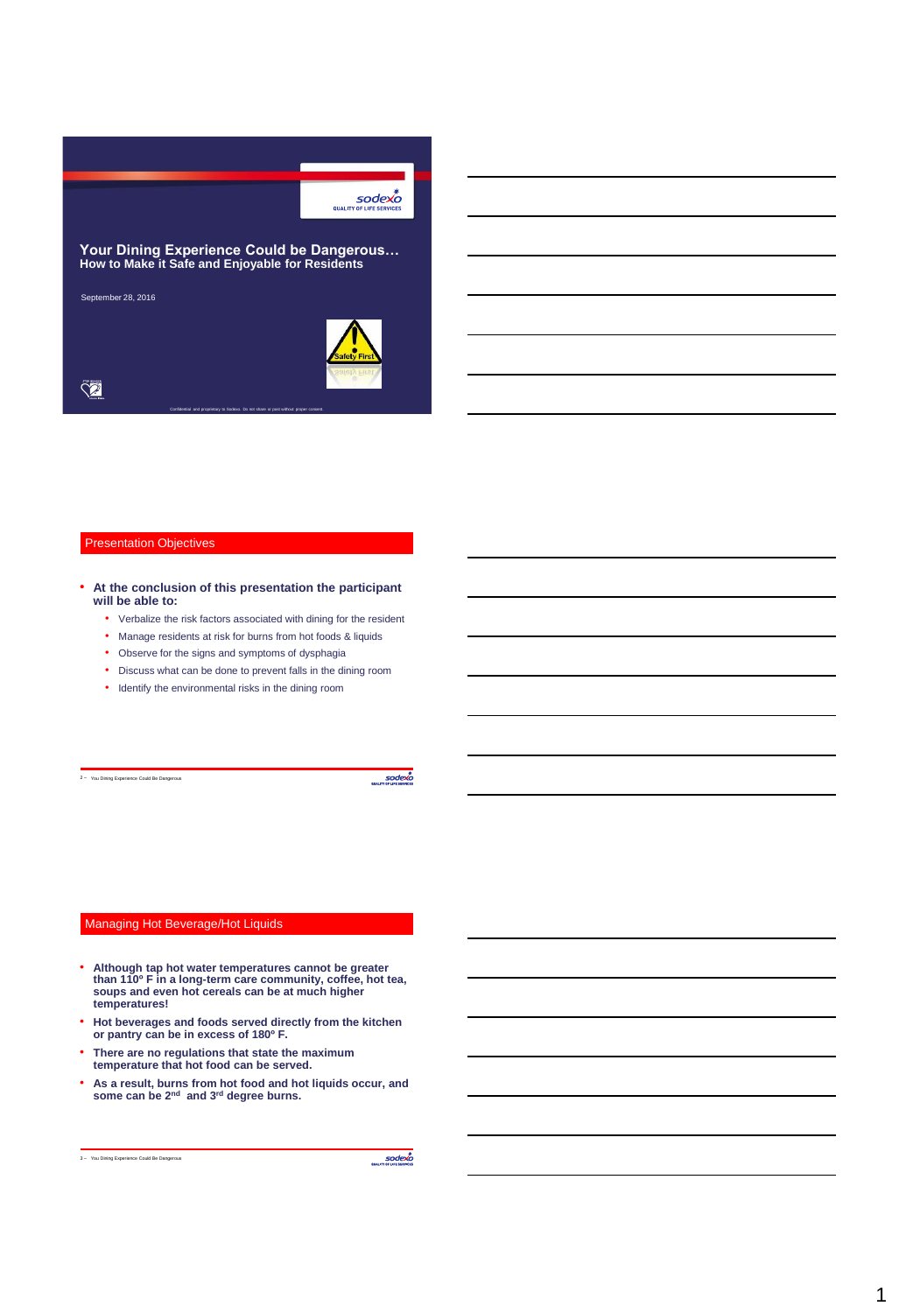

**Your Dining Experience Could be Dangerous… How to Make it Safe and Enjoyable for Residents**

Confidential and proprietary to Sodexo. Do not share or post without proper consent.

September 28, 2016



 $\sqrt{2}$ 

# Presentation Objectives

- **At the conclusion of this presentation the participant will be able to:**
	- Verbalize the risk factors associated with dining for the resident
	- Manage residents at risk for burns from hot foods & liquids
	- Observe for the signs and symptoms of dysphagia
	- Discuss what can be done to prevent falls in the dining room
	- Identify the environmental risks in the dining room

2 – You Dining Experience Could Be Dangerous

sodexo

#### Managing Hot Beverage/Hot Liquids

- **Although tap hot water temperatures cannot be greater than 110º F in a long-term care community, coffee, hot tea, soups and even hot cereals can be at much higher temperatures!**
- **Hot beverages and foods served directly from the kitchen or pantry can be in excess of 180º F.**
- **There are no regulations that state the maximum temperature that hot food can be served.**
- **As a result, burns from hot food and hot liquids occur, and some can be 2nd and 3rd degree burns.**

```
3 – You Dining Experience Could Be Dangerous
```
 $\frac{sodeX}{someX}$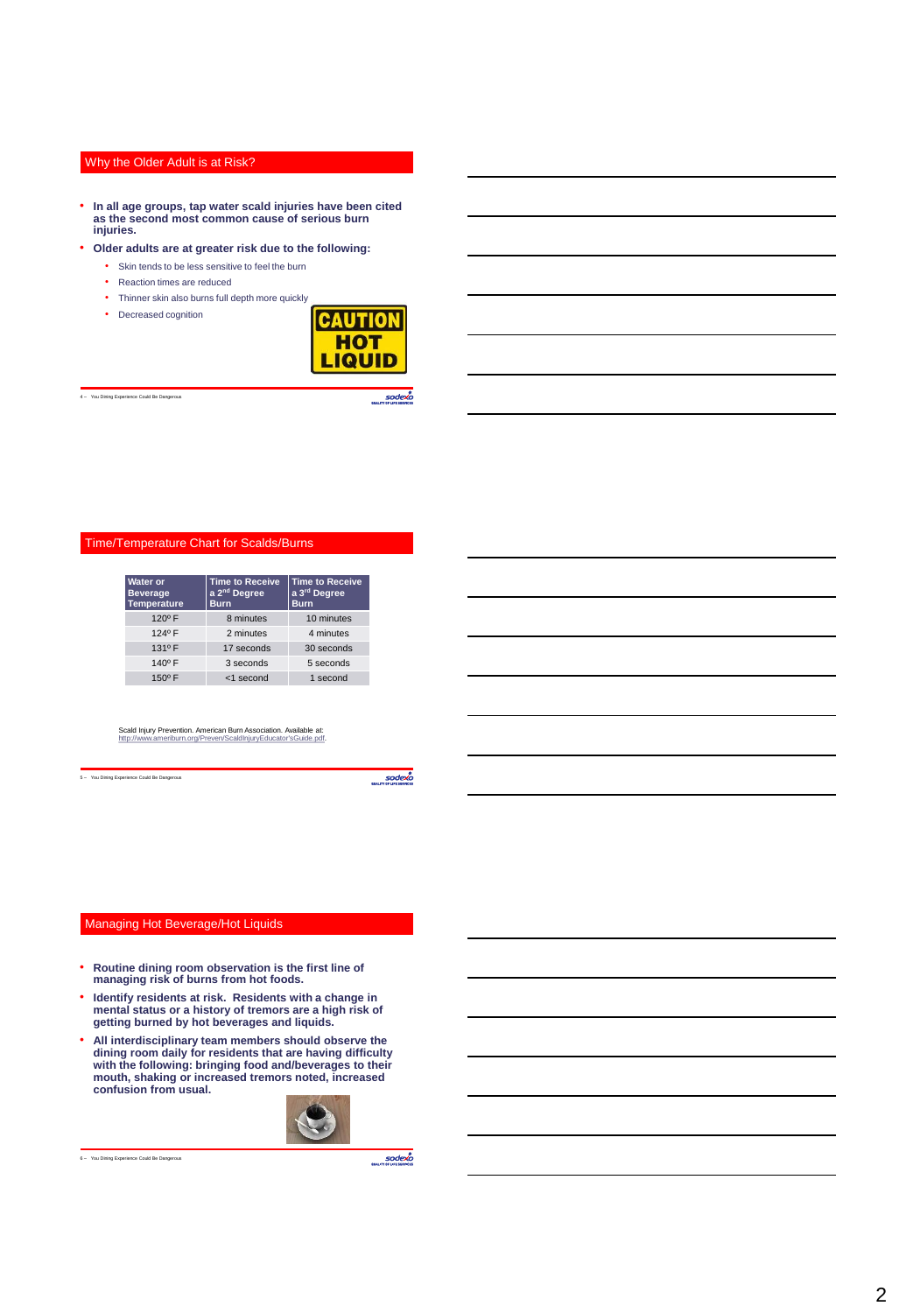#### Why the Older Adult is at Risk?

- **In all age groups, tap water scald injuries have been cited as the second most common cause of serious burn injuries.**
- **Older adults are at greater risk due to the following:**
	- Skin tends to be less sensitive to feel the burn
	- Reaction times are reduced
	- Thinner skin also burns full depth more quickly
	- Decreased cognition



4 – You Dining Experience Could Be Dangerous

sodexo

#### Time/Temperature Chart for Scalds/Burns

| <b>Water or</b><br><b>Beverage</b><br><b>Temperature</b> | <b>Time to Receive</b><br>a 2 <sup>nd</sup> Degree<br><b>Burn</b> | <b>Time to Receive</b><br>a 3 <sup>rd</sup> Degree<br><b>Burn</b> |  |  |  |  |
|----------------------------------------------------------|-------------------------------------------------------------------|-------------------------------------------------------------------|--|--|--|--|
| 120°F                                                    | 8 minutes                                                         | 10 minutes                                                        |  |  |  |  |
| 124°F                                                    | 2 minutes                                                         | 4 minutes                                                         |  |  |  |  |
| 131º F                                                   | 17 seconds                                                        | 30 seconds                                                        |  |  |  |  |
| 140°F                                                    | 3 seconds                                                         | 5 seconds                                                         |  |  |  |  |
| $150^{\circ}$ F                                          | <1 second                                                         | 1 second                                                          |  |  |  |  |

Scald Injury Prevention. American Burn Association. Available at: [http://www.ameriburn.org/Preven/ScaldInjuryEducator'sGuide.pdf](http://www.ameriburn.org/Preven/ScaldInjuryEducator).

5 - You Dining Experience Could Be Dangerous

 $\frac{sode}{s}$ 

#### Managing Hot Beverage/Hot Liquids

- **Routine dining room observation is the first line of managing risk of burns from hot foods.**
- **Identify residents at risk. Residents with a change in mental status or a history of tremors are a high risk of getting burned by hot beverages and liquids.**
- **All interdisciplinary team members should observe the dining room daily for residents that are having difficulty with the following: bringing food and/beverages to their mouth, shaking or increased tremors noted, increased confusion from usual.**



6 – You Dining Experience Could Be Dangerous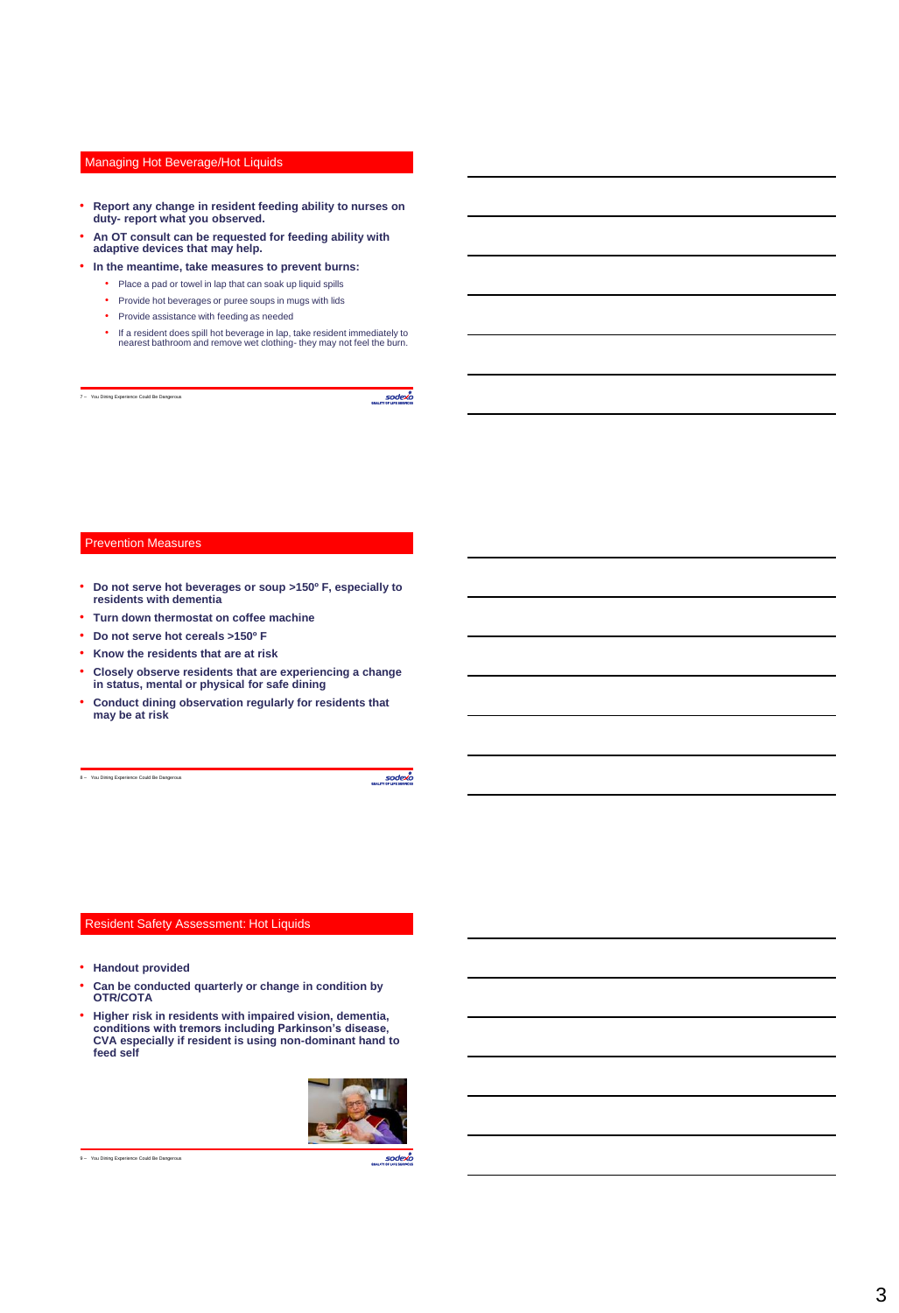#### Managing Hot Beverage/Hot Liquids

- **Report any change in resident feeding ability to nurses on duty- report what you observed.**
- **An OT consult can be requested for feeding ability with adaptive devices that may help.**
- **In the meantime, take measures to prevent burns:**
	- Place a pad or towel in lap that can soak up liquid spills
	- Provide hot beverages or puree soups in mugs with lids
	- Provide assistance with feeding as needed
	- If a resident does spill hot beverage in lap, take resident immediately to nearest bathroom and remove wet clothing- they may not feel the burn.

7 – You Dining Experience Could Be Dangerous

sodexo

#### Prevention Measures

- **Do not serve hot beverages or soup >150º F, especially to residents with dementia**
- **Turn down thermostat on coffee machine**
- **Do not serve hot cereals >150º F**
- **Know the residents that are at risk**
- **Closely observe residents that are experiencing a change in status, mental or physical for safe dining**
- **Conduct dining observation regularly for residents that may be at risk**

8 – You Dining Experience Could Be Dangerous

sodexo

#### Resident Safety Assessment: Hot Liquids

- **Handout provided**
- **Can be conducted quarterly or change in condition by OTR/COTA**
- **Higher risk in residents with impaired vision, dementia, conditions with tremors including Parkinson's disease, CVA especially if resident is using non-dominant hand to feed self**



9 – You Dining Experience Could Be Dangerous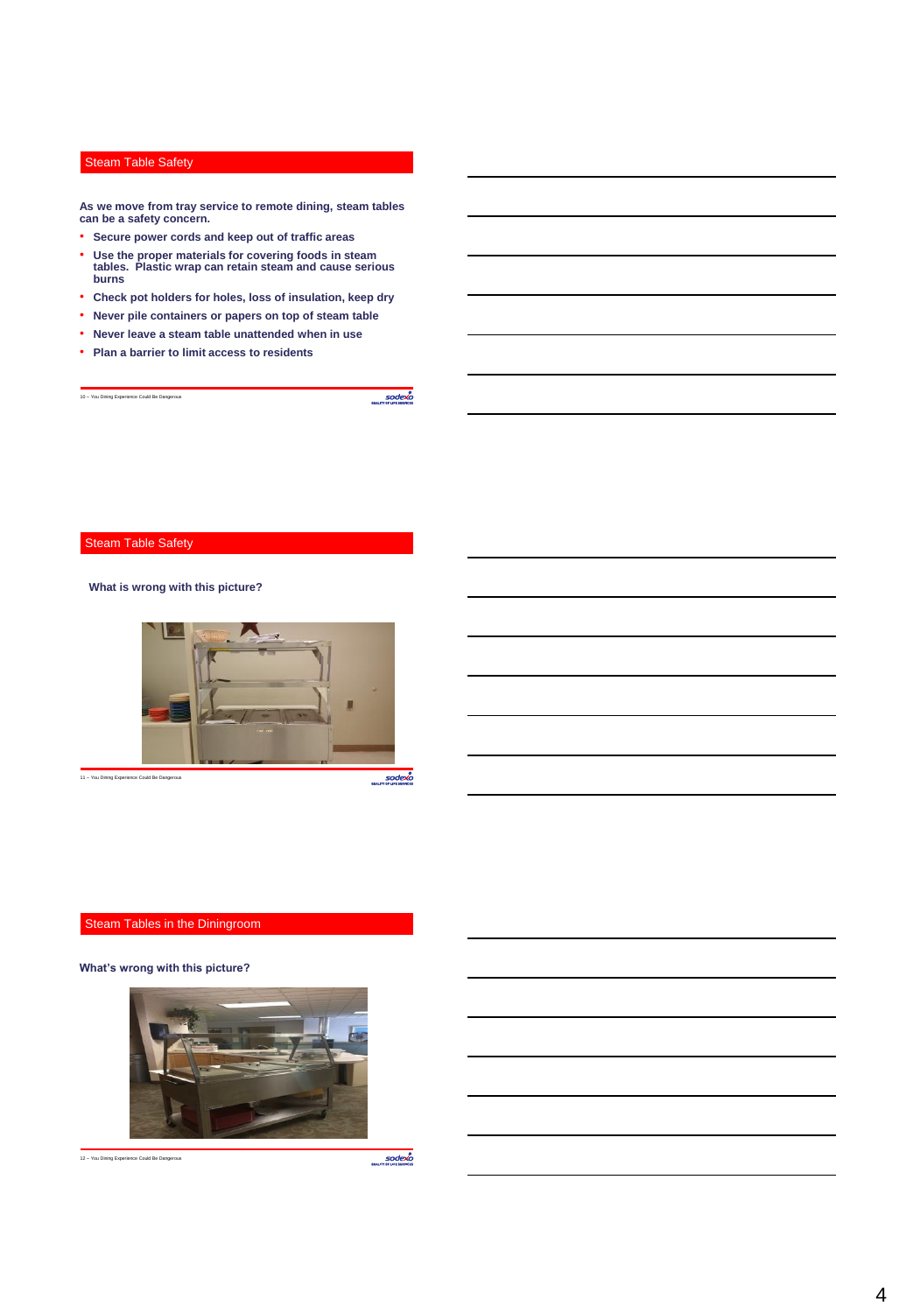#### **Steam Table Safety**

**As we move from tray service to remote dining, steam tables can be a safety concern.**

- **Secure power cords and keep out of traffic areas**
- **Use the proper materials for covering foods in steam tables. Plastic wrap can retain steam and cause serious burns**
- **Check pot holders for holes, loss of insulation, keep dry**
- **Never pile containers or papers on top of steam table**
- **Never leave a steam table unattended when in use**
- **Plan a barrier to limit access to residents**

10 – You Dining Experience Could Be Dangerous

 $\mathsf{soc}_{\mathsf{conform}}^*$ 

#### Steam Table Safety

#### **What is wrong with this picture?**



11 – You Dining Experience Could Be Dangerous

sodexo

#### Steam Tables in the Diningroom

#### **What's wrong with this picture?**



12 – You Dining Experience Could Be Dangerous

 $\mathsf{soc}_{\mathsf{conformes}}^*$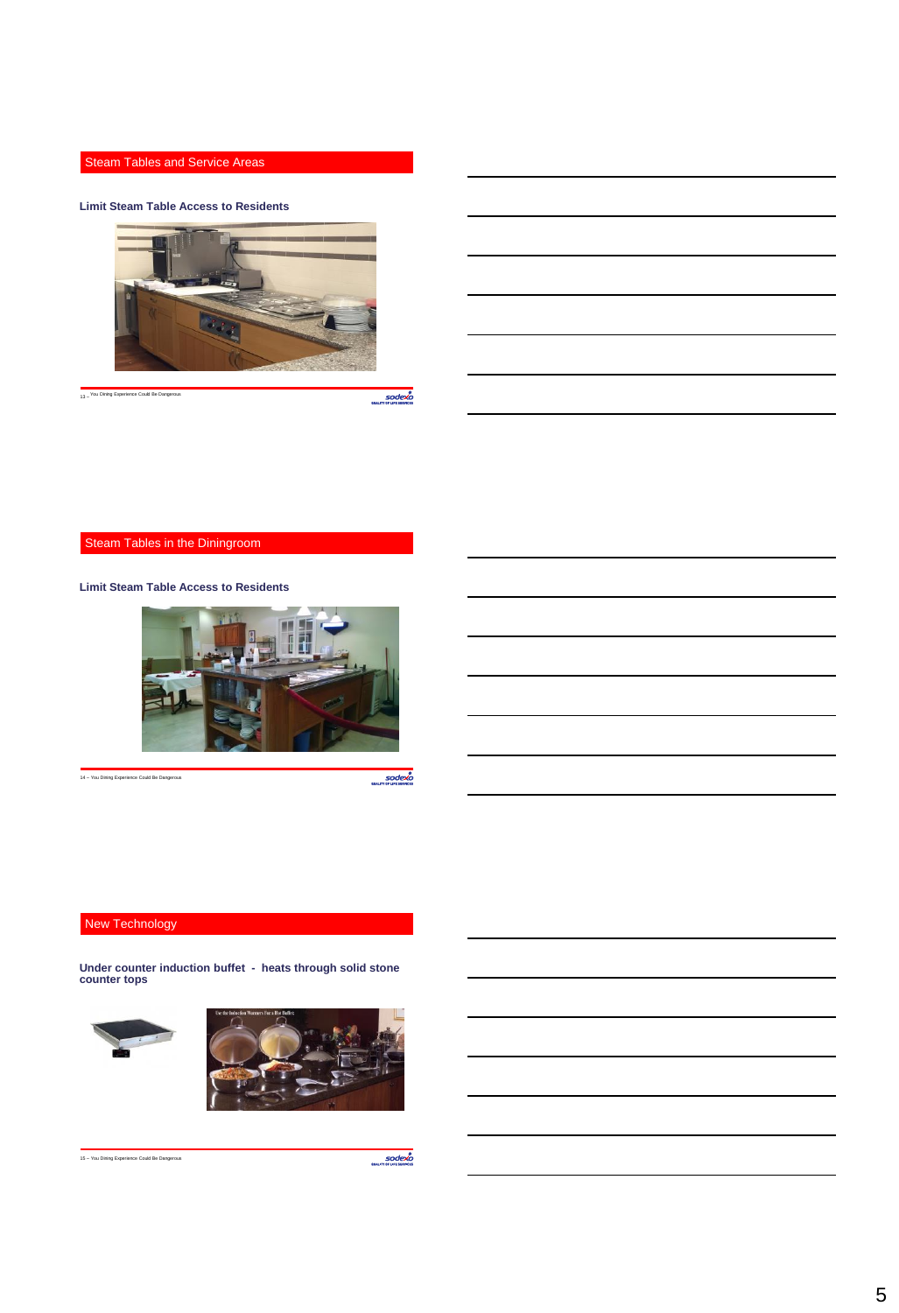# Steam Tables and Service Areas

#### **Limit Steam Table Access to Residents**



You Dining Experience Could Be Dangerous <sup>13</sup> –

 $\frac{sode}{s}$ 

# Steam Tables in the Diningroom

#### **Limit Steam Table Access to Residents**



14 – You Dining Experience Could Be Dangerous

 $\frac{sode\times \cancel{c}}{some\times \cancel{c}}$ 

# New Technology

**Under counter induction buffet - heats through solid stone counter tops** 



15 – You Dining Experience Could Be Dangerous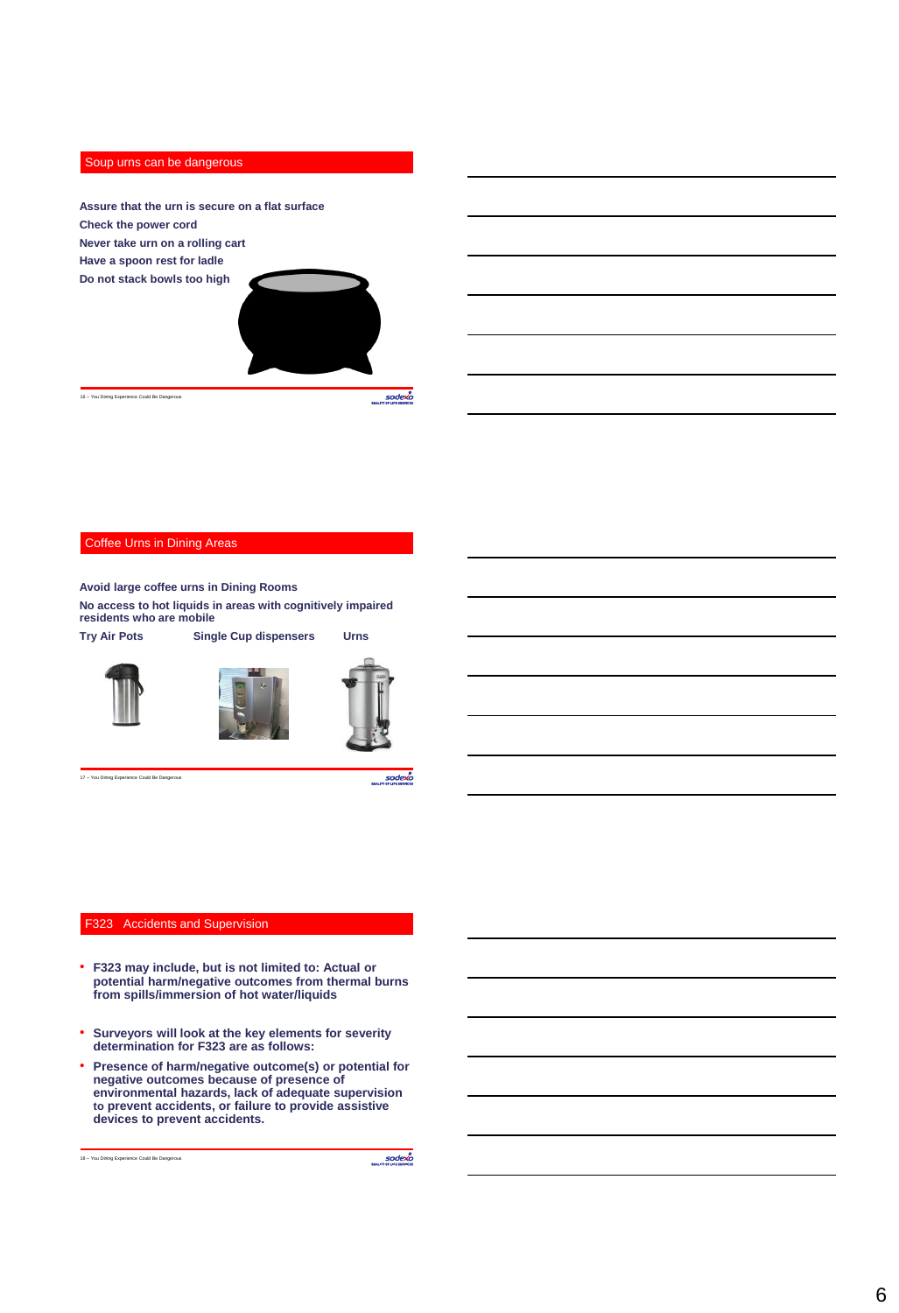#### Soup urns can be dangerous

**Assure that the urn is secure on a flat surface Check the power cord Never take urn on a rolling cart Have a spoon rest for ladle Do not stack bowls too high** 



16 – You Dining Experience Could Be Dangerous

sodexo

# Coffee Urns in Dining Areas

**Avoid large coffee urns in Dining Rooms** 

**No access to hot liquids in areas with cognitively impaired residents who are mobile**



**Try Air Pots Single Cup dispensers Urns**







17 – You Dining Experience Could Be Dangerous

 $\frac{sode}{s}$ 

#### F323 Accidents and Supervision

- **F323 may include, but is not limited to: Actual or potential harm/negative outcomes from thermal burns from spills/immersion of hot water/liquids**
- **Surveyors will look at the key elements for severity determination for F323 are as follows:**
- **Presence of harm/negative outcome(s) or potential for negative outcomes because of presence of environmental hazards, lack of adequate supervision to prevent accidents, or failure to provide assistive devices to prevent accidents.**

18 – You Dining Experience Could Be Dangerous

 $\frac{sodeX}{someX}$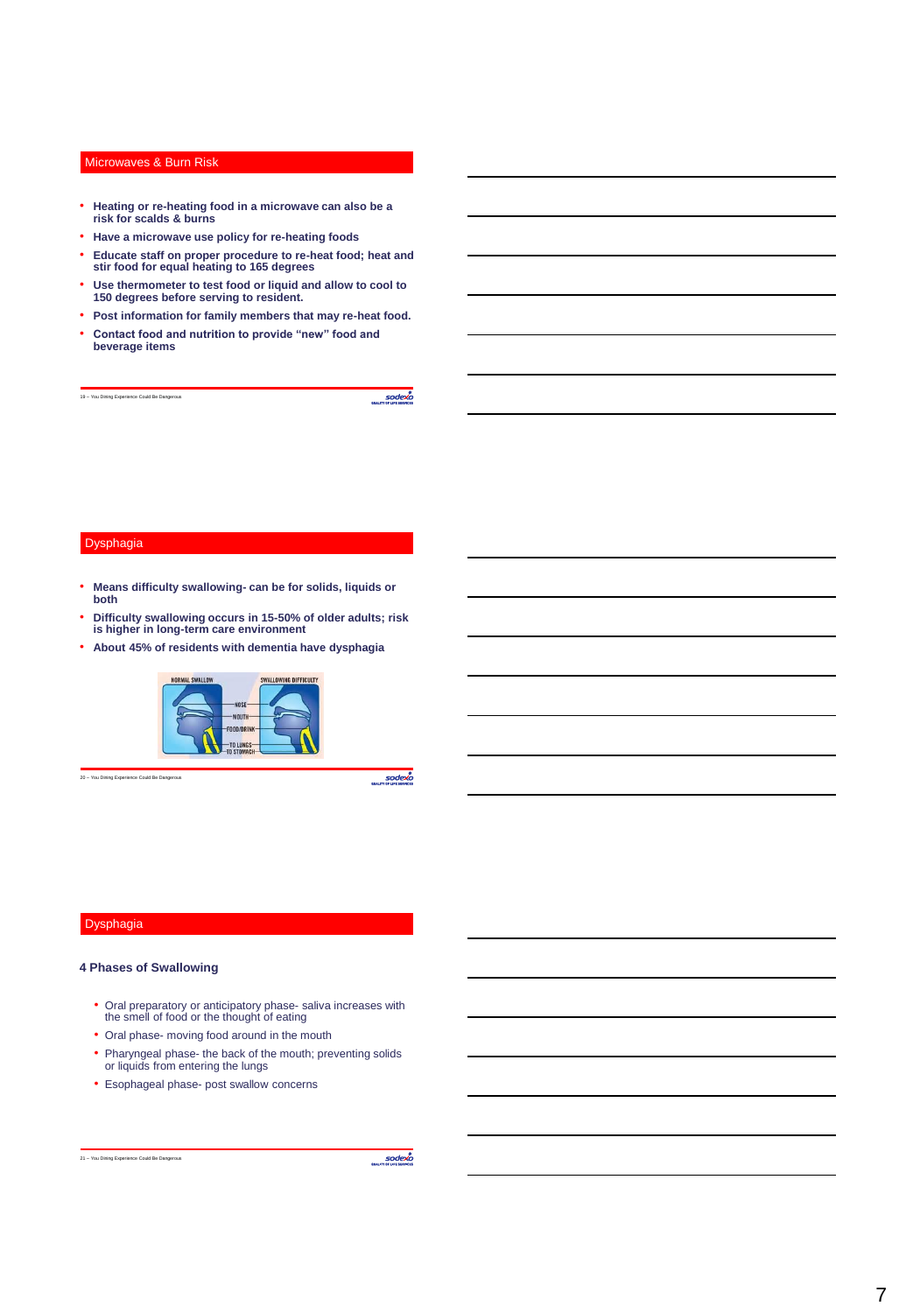#### Microwaves & Burn Risk

- **Heating or re-heating food in a microwave can also be a risk for scalds & burns**
- **Have a microwave use policy for re-heating foods**
- **Educate staff on proper procedure to re-heat food; heat and stir food for equal heating to 165 degrees**
- **Use thermometer to test food or liquid and allow to cool to 150 degrees before serving to resident.**
- **Post information for family members that may re-heat food.**
- **Contact food and nutrition to provide "new" food and beverage items**

19 – You Dining Experience Could Be Dangerous

sodexo

#### Dysphagia

- **Means difficulty swallowing- can be for solids, liquids or both**
- **Difficulty swallowing occurs in 15-50% of older adults; risk is higher in long-term care environment**
- **About 45% of residents with dementia have dysphagia**



20 – You Dining Experience Could Be Dangerous

sodexo

#### Dysphagia

# **4 Phases of Swallowing**

- Oral preparatory or anticipatory phase- saliva increases with the smell of food or the thought of eating
- Oral phase- moving food around in the mouth
- Pharyngeal phase- the back of the mouth; preventing solids or liquids from entering the lungs
- Esophageal phase- post swallow concerns

```
21 – You Dining Experience Could Be Dangerous
```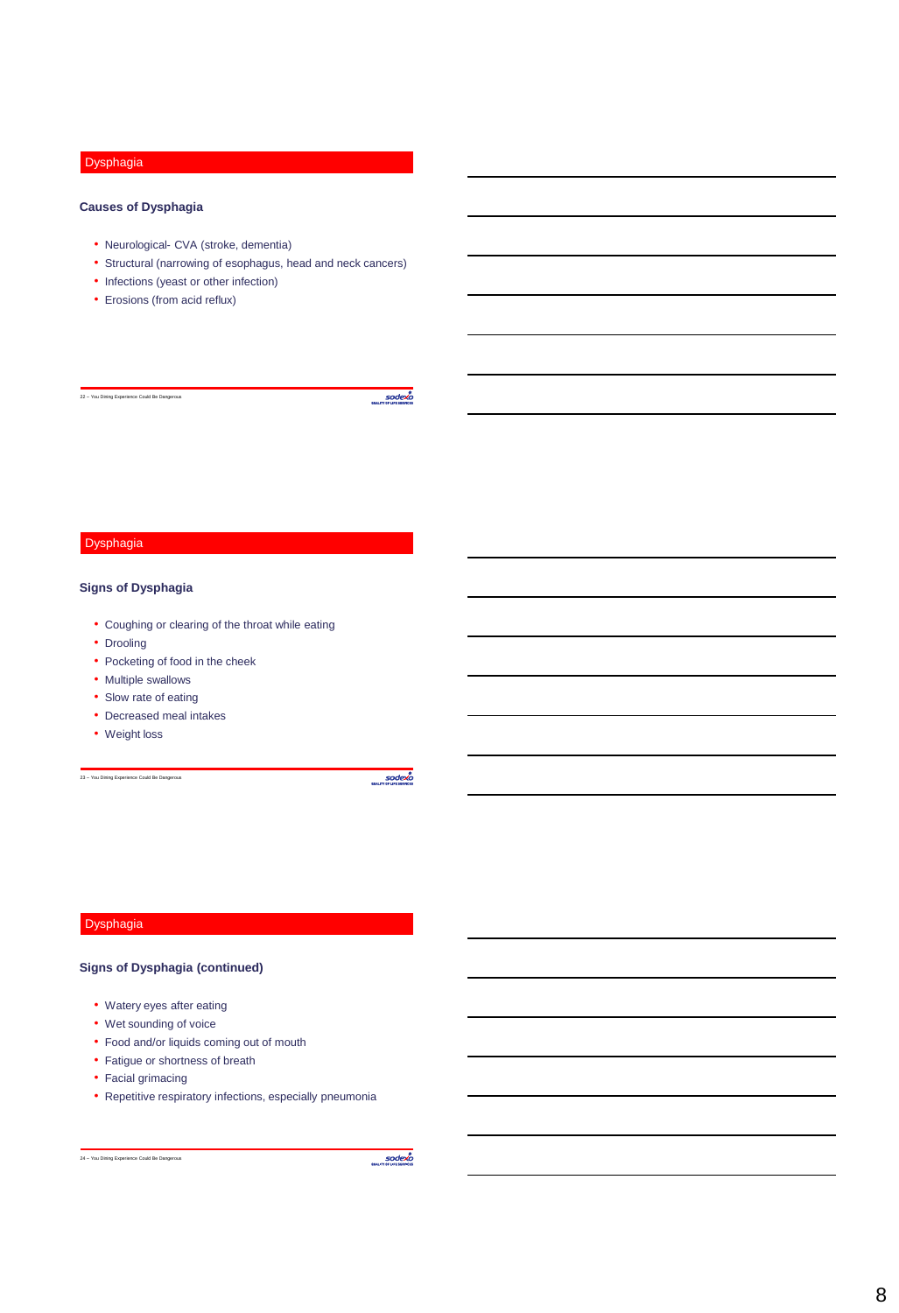# Dysphagia

# **Causes of Dysphagia**

- Neurological- CVA (stroke, dementia)
- Structural (narrowing of esophagus, head and neck cancers)
- Infections (yeast or other infection)
- Erosions (from acid reflux)

22 – You Dining Experience Could Be Dangerous

 $s$ ownwarunsuwas

# Dysphagia

#### **Signs of Dysphagia**

- Coughing or clearing of the throat while eating
- Drooling
- Pocketing of food in the cheek
- Multiple swallows
- Slow rate of eating
- Decreased meal intakes
- Weight loss

**23 – You Dining Experience Could Be Dangerous** 

 $s$ 

#### Dysphagia

# **Signs of Dysphagia (continued)**

- Watery eyes after eating
- Wet sounding of voice
- Food and/or liquids coming out of mouth
- Fatigue or shortness of breath
- Facial grimacing
- Repetitive respiratory infections, especially pneumonia

24 – You Dining Experience Could Be Dangerous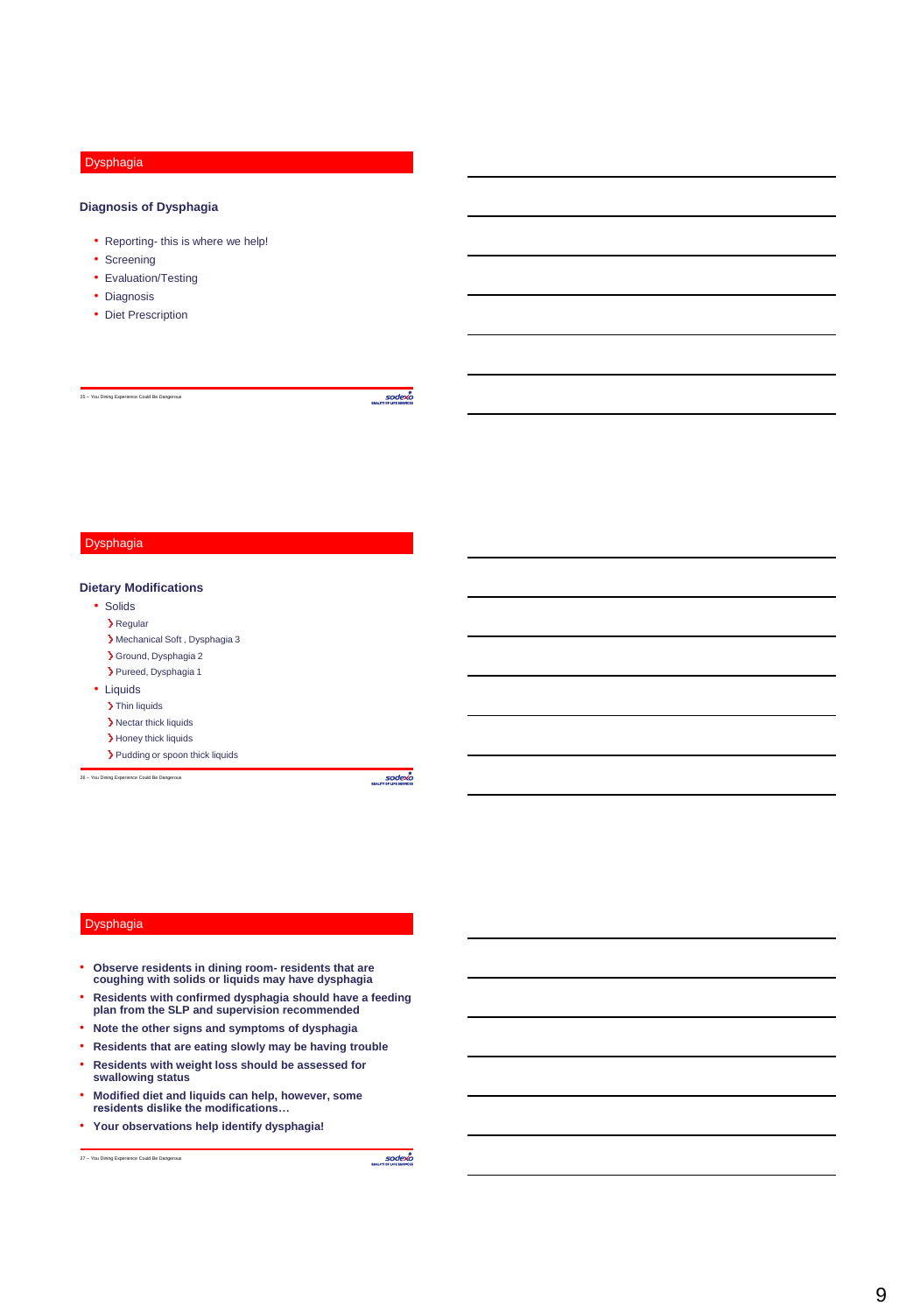# Dysphagia

#### **Diagnosis of Dysphagia**

- Reporting- this is where we help!
- Screening
- Evaluation/Testing
- Diagnosis
- Diet Prescription

25 – You Dining Experience Could Be Dangerous

sodexo

# Dysphagia

#### **Dietary Modifications**

- Solids
- >Regular
	- Mechanical Soft , Dysphagia 3
- Ground, Dysphagia 2
- Pureed, Dysphagia 1
- Liquids
- > Thin liquids
- > Nectar thick liquids
- > Honey thick liquids
- > Pudding or spoon thick liquids

**26 – You Dining Experience Could Be Dangerous** 

 $\frac{sode}{s}$ 

#### Dysphagia

- **Observe residents in dining room- residents that are coughing with solids or liquids may have dysphagia**
- **Residents with confirmed dysphagia should have a feeding plan from the SLP and supervision recommended**
- **Note the other signs and symptoms of dysphagia**
- **Residents that are eating slowly may be having trouble**
- **Residents with weight loss should be assessed for swallowing status**
- **Modified diet and liquids can help, however, some residents dislike the modifications…**
- **Your observations help identify dysphagia!**

27 – You Dining Experience Could Be Dangerous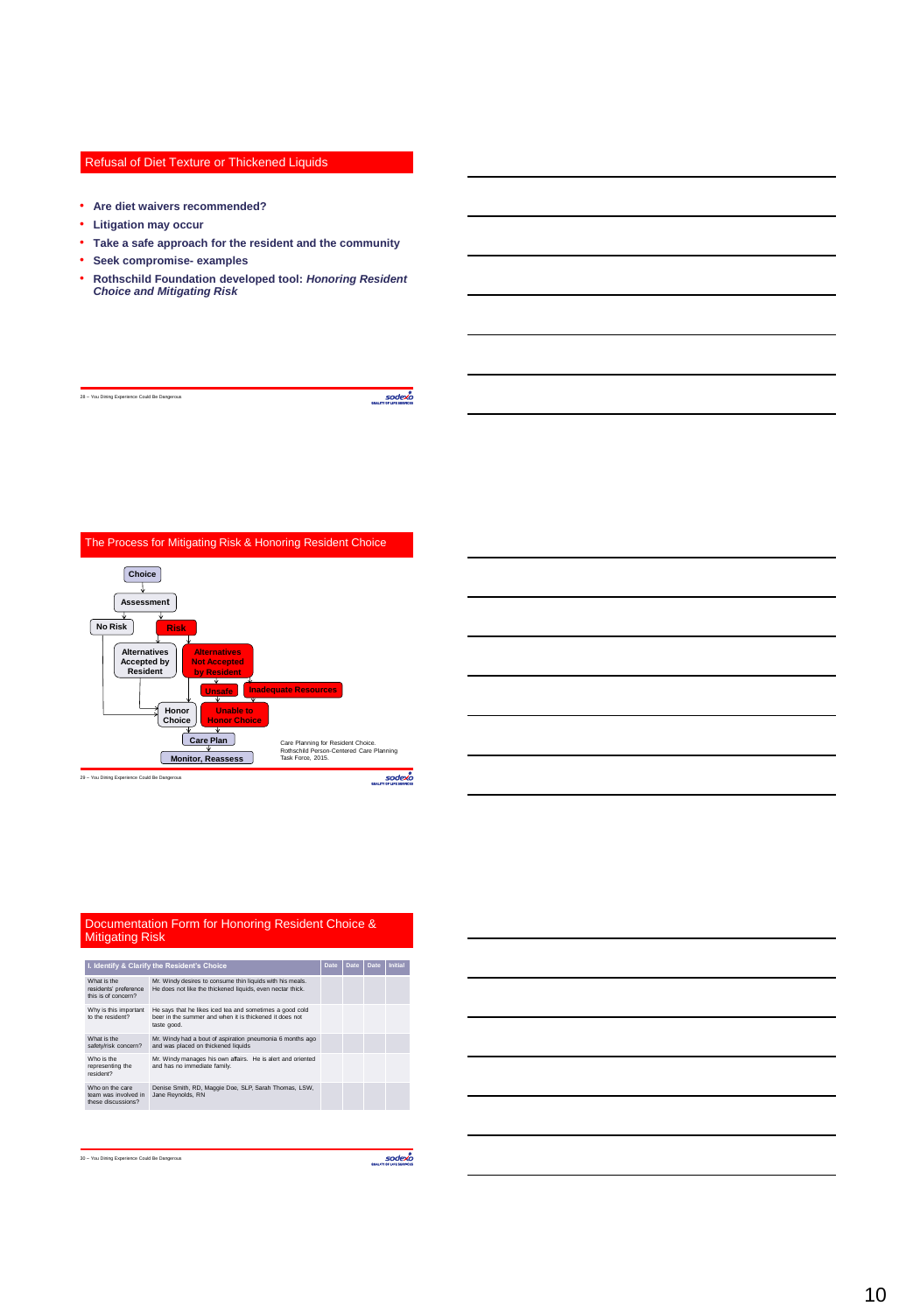#### Refusal of Diet Texture or Thickened Liquids

- **Are diet waivers recommended?**
- **Litigation may occur**

28 – You Dining Experience Could Be Dangerous

- **Take a safe approach for the resident and the community**
- **Seek compromise- examples**
- **Rothschild Foundation developed tool:** *Honoring Resident Choice and Mitigating Risk*



#### Documentation Form for Honoring Resident Choice & Mitigating Risk

| I. Identify & Clarify the Resident's Choice                   | <b>Date</b>                                                                                                                        | Date | Date | Initial |  |
|---------------------------------------------------------------|------------------------------------------------------------------------------------------------------------------------------------|------|------|---------|--|
| What is the<br>residents' preference<br>this is of concern?   | Mr. Windy desires to consume thin liquids with his meals.<br>He does not like the thickened liquids, even nectar thick.            |      |      |         |  |
| Why is this important<br>to the resident?                     | He says that he likes iced tea and sometimes a good cold<br>beer in the summer and when it is thickened it does not<br>taste good. |      |      |         |  |
| What is the<br>safety/risk concern?                           | Mr. Windy had a bout of aspiration pneumonia 6 months ago<br>and was placed on thickened liquids                                   |      |      |         |  |
| Who is the<br>representing the<br>resident?                   | Mr. Windy manages his own affairs. He is alert and oriented<br>and has no immediate family.                                        |      |      |         |  |
| Who on the care<br>team was involved in<br>these discussions? | Denise Smith, RD, Maggie Doe, SLP, Sarah Thomas, LSW.<br>Jane Revnolds, RN                                                         |      |      |         |  |

30 - You Dining Experience Could Be Dangerous

 $s$ owumerunsumas

 $s$ ownwarunsuwas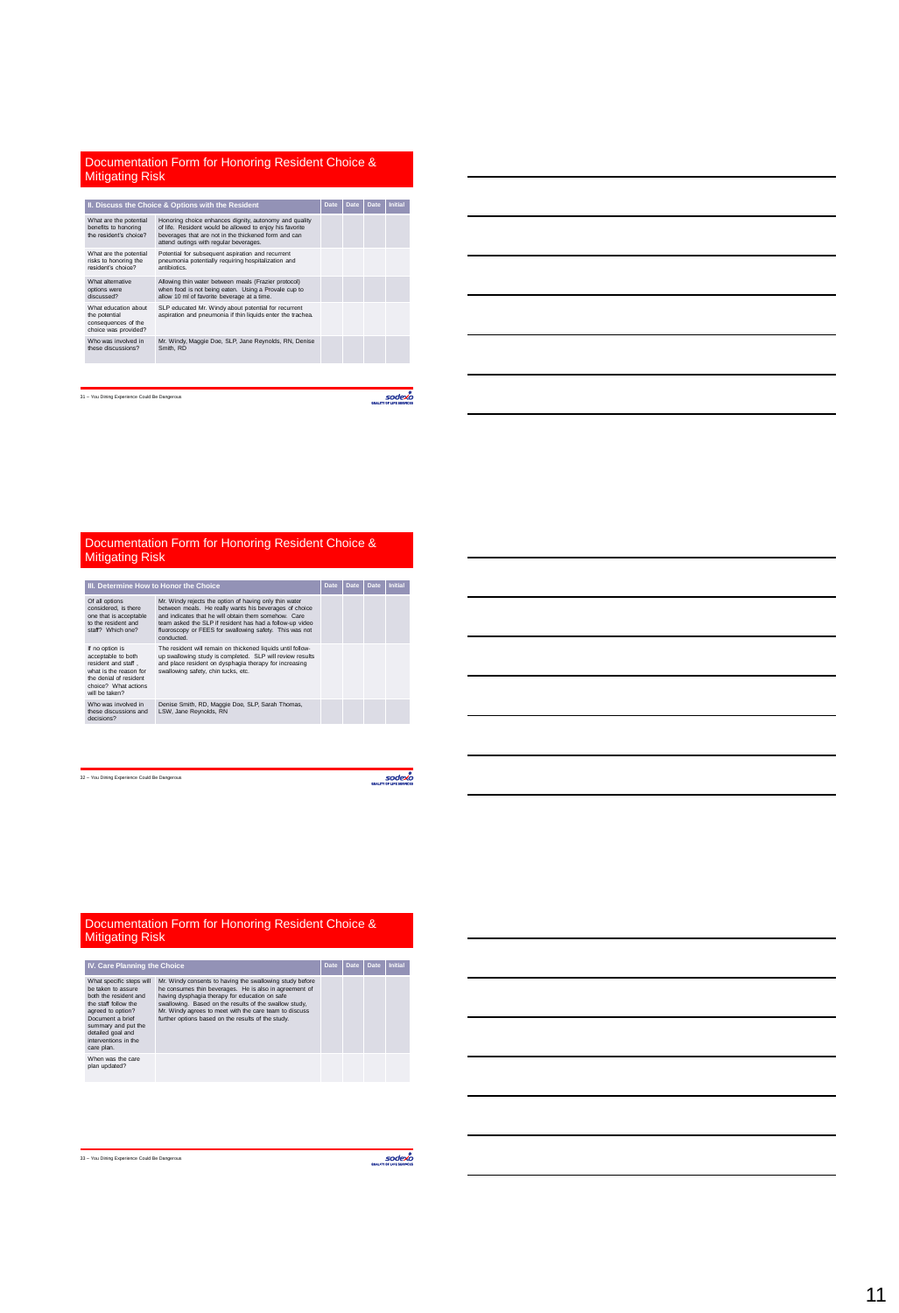| Documentation Form for Honoring Resident Choice &<br><b>Mitigating Risk</b>                                                                                                                                          |      |      |      |                |  |  |  |  |
|----------------------------------------------------------------------------------------------------------------------------------------------------------------------------------------------------------------------|------|------|------|----------------|--|--|--|--|
| II. Discuss the Choice & Options with the Resident                                                                                                                                                                   | Date | Date | Date | <b>Initial</b> |  |  |  |  |
| Honoring choice enhances dignity, autonomy and quality<br>of life. Resident would be allowed to enjoy his favorite<br>beverages that are not in the thickened form and can<br>attend outings with regular beverages. |      |      |      |                |  |  |  |  |
| Potential for subsequent aspiration and recurrent<br>pneumonia potentially requiring hospitalization and<br>antibiotics                                                                                              |      |      |      |                |  |  |  |  |
| Allowing thin water between meals (Frazier protocol)<br>when food is not being eaten. Using a Provale cup to<br>allow 10 ml of favorite beverage at a time.                                                          |      |      |      |                |  |  |  |  |
| SLP educated Mr. Windy about potential for recurrent<br>aspiration and pneumonia if thin liquids enter the trachea.                                                                                                  |      |      |      |                |  |  |  |  |
| Mr. Windy, Maggie Doe, SLP, Jane Reynolds, RN, Denise<br>Smith, RD                                                                                                                                                   |      |      |      |                |  |  |  |  |
|                                                                                                                                                                                                                      |      |      |      |                |  |  |  |  |

31 - You Dining Experience Could Be Dangerous

 $\frac{sode^{*}}{some^{*}}$ 

# Documentation Form for Honoring Resident Choice & Mitigating Risk

| III. Determine How to Honor the Choice                                                                                                                     | Date                                                                                                                                                                                                                                                                                                         | Date | Date | <b>Initial</b> |  |
|------------------------------------------------------------------------------------------------------------------------------------------------------------|--------------------------------------------------------------------------------------------------------------------------------------------------------------------------------------------------------------------------------------------------------------------------------------------------------------|------|------|----------------|--|
| Of all options<br>considered, is there<br>one that is acceptable<br>to the resident and<br>staff? Which one?                                               | Mr. Windy rejects the option of having only thin water<br>between meals. He really wants his beverages of choice<br>and indicates that he will obtain them somehow. Care<br>team asked the SLP if resident has had a follow-up video<br>fluoroscopy or FEES for swallowing safety. This was not<br>conducted |      |      |                |  |
| If no option is<br>acceptable to both<br>resident and staff.<br>what is the reason for<br>the denial of resident<br>choice? What actions<br>will he taken? | The resident will remain on thickened liquids until follow-<br>up swallowing study is completed. SLP will review results<br>and place resident on dysphagia therapy for increasing<br>swallowing safety, chin tucks, etc.                                                                                    |      |      |                |  |
| Who was involved in<br>these discussions and<br>Canoisions?                                                                                                | Denise Smith, RD, Maggie Doe, SLP, Sarah Thomas,<br>LSW, Jane Revnolds, RN                                                                                                                                                                                                                                   |      |      |                |  |

32 - You Dining Experience Could Be Dangerous

# Documentation Form for Honoring Resident Choice & Mitigating Risk

| IV. Care Planning the Choice                                                                                                                                                                                               | Date                                                                                                                                                                                                                                                                                                                                           | Date Date | Initial |  |
|----------------------------------------------------------------------------------------------------------------------------------------------------------------------------------------------------------------------------|------------------------------------------------------------------------------------------------------------------------------------------------------------------------------------------------------------------------------------------------------------------------------------------------------------------------------------------------|-----------|---------|--|
| What specific steps will<br>he taken to assure<br>hoth the resident and<br>the staff follow the<br>agreed to option?<br>Document a brief<br>summary and put the<br>detailed goal and<br>interventions in the<br>care plan. | Mr. Windy consents to having the swallowing study before<br>he consumes thin beverages. He is also in agreement of<br>having dysphagia therapy for education on safe<br>swallowing. Based on the results of the swallow study.<br>Mr. Windy agrees to meet with the care team to discuss<br>further options based on the results of the study. |           |         |  |
| When was the care<br>plan updated?                                                                                                                                                                                         |                                                                                                                                                                                                                                                                                                                                                |           |         |  |

33 - You Dining Experience Could Be Dangerous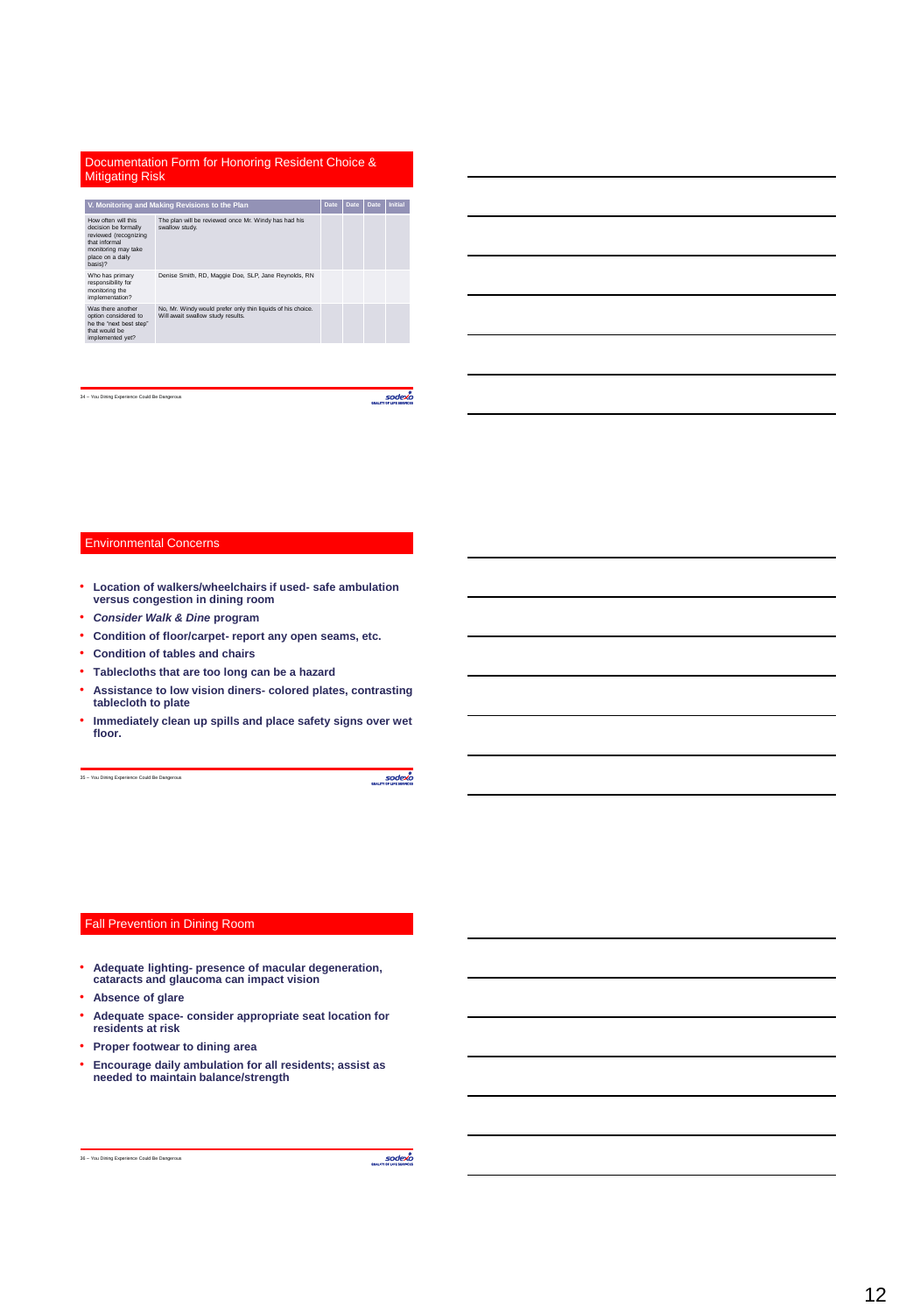| Documentation Form for Honoring Resident Choice &<br><b>Mitigating Risk</b>                                                                 |                                                                                                  |             |      |      |                |  |  |  |  |
|---------------------------------------------------------------------------------------------------------------------------------------------|--------------------------------------------------------------------------------------------------|-------------|------|------|----------------|--|--|--|--|
|                                                                                                                                             | V. Monitoring and Making Revisions to the Plan                                                   | <b>Date</b> | Date | Date | <b>Initial</b> |  |  |  |  |
| How often will this<br>decision be formally<br>reviewed (recognizing<br>that informal<br>monitoring may take<br>place on a daily<br>basis)? | The plan will be reviewed once Mr. Windy has had his<br>swallow study.                           |             |      |      |                |  |  |  |  |
| Who has primary<br>responsibility for<br>monitoring the<br>implementation?                                                                  | Denise Smith, RD, Maggie Doe, SLP, Jane Reynolds, RN                                             |             |      |      |                |  |  |  |  |
| Was there another<br>option considered to<br>he the "next best step"<br>that would he<br>implemented yet?                                   | No, Mr. Windy would prefer only thin liquids of his choice.<br>Will await swallow study results. |             |      |      |                |  |  |  |  |
|                                                                                                                                             |                                                                                                  |             |      |      |                |  |  |  |  |

34 – You Dining Experience Could Be Dangerous

 $s$ ownwarunsuwas

#### Environmental Concerns

- **Location of walkers/wheelchairs if used- safe ambulation versus congestion in dining room**
- *Consider Walk & Dine* **program**
- **Condition of floor/carpet- report any open seams, etc.**
- **Condition of tables and chairs**
- **Tablecloths that are too long can be a hazard**
- **Assistance to low vision diners- colored plates, contrasting tablecloth to plate**
- **Immediately clean up spills and place safety signs over wet floor.**

35 – You Dining Experience Could Be Dangerous

sodexo

#### Fall Prevention in Dining Room

- **Adequate lighting- presence of macular degeneration, cataracts and glaucoma can impact vision**
- **Absence of glare**
- **Adequate space- consider appropriate seat location for residents at risk**
- **Proper footwear to dining area**
- **Encourage daily ambulation for all residents; assist as needed to maintain balance/strength**

36 – You Dining Experience Could Be Dangerous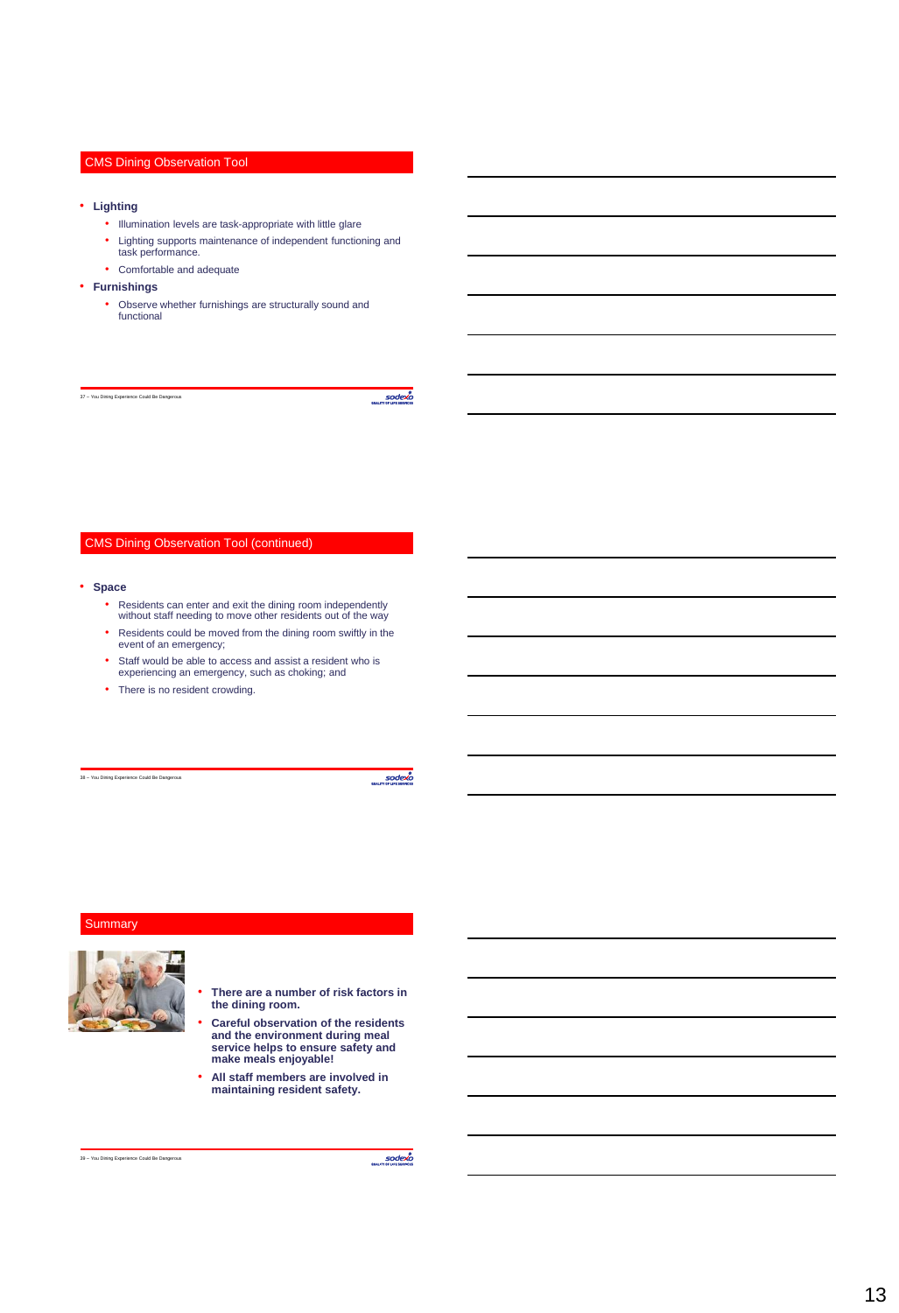#### CMS Dining Observation Tool

#### • **Lighting**

- Illumination levels are task-appropriate with little glare
- Lighting supports maintenance of independent functioning and task performance.
- Comfortable and adequate
- **Furnishings**
	- Observe whether furnishings are structurally sound and functional

37 – You Dining Experience Could Be Dangerous

sodexo

# CMS Dining Observation Tool (continued)

- **Space**
	- Residents can enter and exit the dining room independently without staff needing to move other residents out of the way
	- Residents could be moved from the dining room swiftly in the event of an emergency;
	- Staff would be able to access and assist a resident who is experiencing an emergency, such as choking; and
	- There is no resident crowding.

38 – You Dining Experience Could Be Dangerous

sodexo

#### **Summary**



- **There are a number of risk factors in the dining room.**
- **Careful observation of the residents and the environment during meal service helps to ensure safety and make meals enjoyable!**
- **All staff members are involved in maintaining resident safety.**

39 – You Dining Experience Could Be Dangerous

 $\frac{sodeX}{someX}$